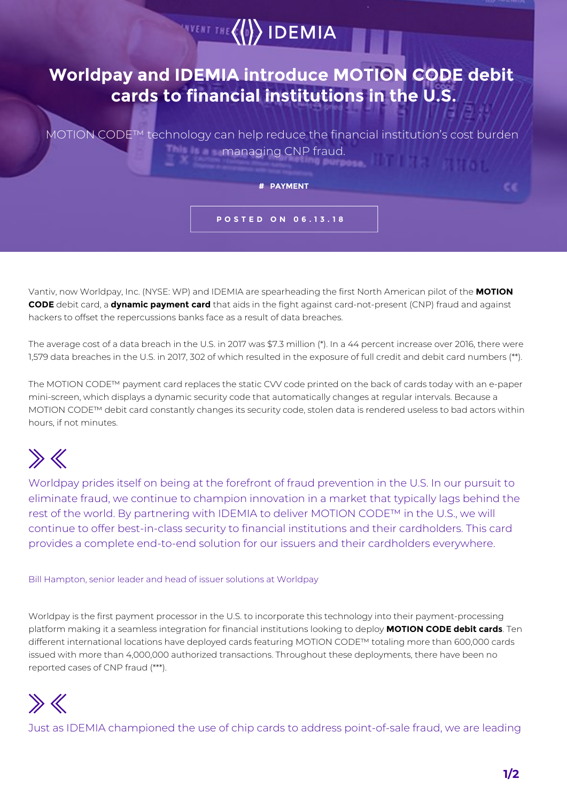

MOTION CODE™ technology can help reduce the financial institution's cost burden **Example 20 managing CNP fraud.** 

**# PAYMENT**

**POSTED ON 06.13.18**

Vantiv, now Worldpay, Inc. (NYSE: WP) and IDEMIA are spearheading the first North American pilot of the **MOTION**  CODE™ebit card, a **dynamic payment card** that aids in the fight against card-not-present (CNP) fraud and against hackers to offset the repercussions banks face as a result of data breaches.

The average cost of a data breach in the U.S. in 2017 was \$7.3 million (\*). In a 44 percent increase over 2016, there were 1,579 data breaches in the U.S. in 2017, 302 of which resulted in the exposure of full credit and debit card numbers (\*\*).

The MOTION CODE™ payment card replaces the static CVV code printed on the back of cards today with an e-paper mini-screen, which displays a dynamic security code that automatically changes at regular intervals. Because a MOTION CODE™ debit card constantly changes its security code, stolen data is rendered useless to bad actors within hours, if not minutes.

## $\gg K$

Worldpay prides itself on being at the forefront of fraud prevention in the U.S. In our pursuit to eliminate fraud, we continue to champion innovation in a market that typically lags behind the rest of the world. By partnering with IDEMIA to deliver MOTION CODE™ in the U.S., we will continue to offer best-in-class security to financial institutions and their cardholders. This card provides a complete end-to-end solution for our issuers and their cardholders everywhere.

Bill Hampton, senior leader and head of issuer solutions at Worldpay

Worldpay is the first payment processor in the U.S. to incorporate this technology into their payment-processing platform making it a seamless integration for financial institutions looking to deploy **MOTION CODE™debit cards**. Ten different international locations have deployed cards featuring MOTION CODE™ totaling more than 600,000 cards issued with more than 4,000,000 authorized transactions. Throughout these deployments, there have been no reported cases of CNP fraud (\*\*\*).

## $\gg K$

Just as IDEMIA championed the use of chip cards to address point-of-sale fraud, we are leading

ce